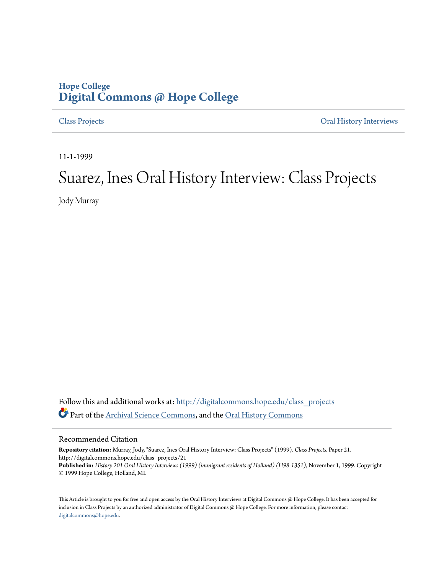## **Hope College [Digital Commons @ Hope College](http://digitalcommons.hope.edu?utm_source=digitalcommons.hope.edu%2Fclass_projects%2F21&utm_medium=PDF&utm_campaign=PDFCoverPages)**

[Class Projects](http://digitalcommons.hope.edu/class_projects?utm_source=digitalcommons.hope.edu%2Fclass_projects%2F21&utm_medium=PDF&utm_campaign=PDFCoverPages) [Oral History Interviews](http://digitalcommons.hope.edu/oral_histories?utm_source=digitalcommons.hope.edu%2Fclass_projects%2F21&utm_medium=PDF&utm_campaign=PDFCoverPages)

11-1-1999

## Suarez, Ines Oral History Interview: Class Projects

Jody Murray

Follow this and additional works at: [http://digitalcommons.hope.edu/class\\_projects](http://digitalcommons.hope.edu/class_projects?utm_source=digitalcommons.hope.edu%2Fclass_projects%2F21&utm_medium=PDF&utm_campaign=PDFCoverPages) Part of the [Archival Science Commons,](http://network.bepress.com/hgg/discipline/1021?utm_source=digitalcommons.hope.edu%2Fclass_projects%2F21&utm_medium=PDF&utm_campaign=PDFCoverPages) and the [Oral History Commons](http://network.bepress.com/hgg/discipline/1195?utm_source=digitalcommons.hope.edu%2Fclass_projects%2F21&utm_medium=PDF&utm_campaign=PDFCoverPages)

## Recommended Citation

**Repository citation:** Murray, Jody, "Suarez, Ines Oral History Interview: Class Projects" (1999). *Class Projects.* Paper 21. http://digitalcommons.hope.edu/class\_projects/21 **Published in:** *History 201 Oral History Interviews (1999) (immigrant residents of Holland) (H98-1351)*, November 1, 1999. Copyright © 1999 Hope College, Holland, MI.

This Article is brought to you for free and open access by the Oral History Interviews at Digital Commons @ Hope College. It has been accepted for inclusion in Class Projects by an authorized administrator of Digital Commons @ Hope College. For more information, please contact [digitalcommons@hope.edu.](mailto:digitalcommons@hope.edu)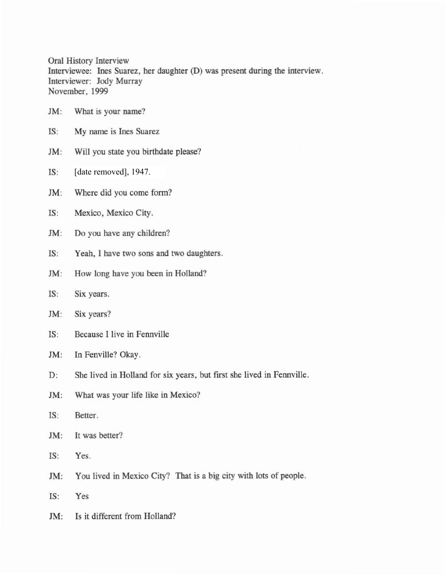Oral History Interview Interviewee: Ines Suarez, her daughter (D) was present during the interview. Interviewer: 10dy Murray November, 1999

- 1M: What is your name?
- IS: My name is Ines Suarez
- JM: Will you state you birthdate please?
- IS: [date removed], 1947.
- 1M: Where did you come form?
- IS: Mexico, Mexico City.
- 1M: Do you have any children?
- IS: Yeah, I have two sons and two daughters.
- 1M: How long have you been in Holland?
- IS: Six years.
- JM: Six years?
- IS: Because I live in Fennville
- JM: In Fenville? Okay.
- D: She lived in Holland for six years, but first she lived in Fennville.
- 1M: What was your life like in Mexico?
- IS: Better.
- JM: It was better?
- IS: Yes.
- 1M: You lived in Mexico City? That is a big city with lots of people.
- IS: Yes
- JM: Is it different from Holland?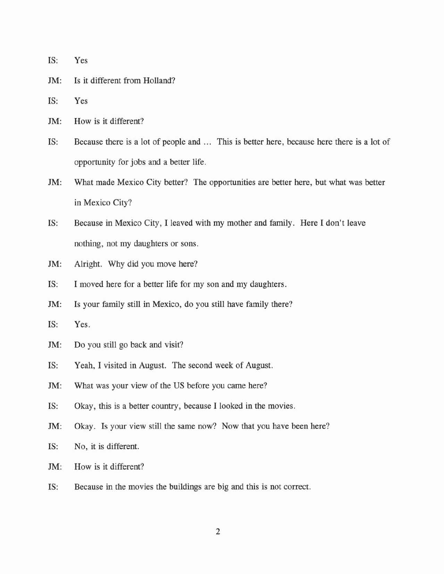- IS: Yes
- JM: Is it different from Holland?
- IS: Yes
- 1M: How is it different?
- IS: Because there is a lot of people and ... This is better here, because here there is a lot of opportunity for jobs and a better life.
- 1M: What made Mexico City better? The opportunities are better here, but what was better in Mexico City?
- IS: Because in Mexico City, I leaved with my mother and family. Here I don't leave nothing, not my daughters or sons.
- JM: Alright. Why did you move here?
- IS: I moved here for a better life for my son and my daughters.
- *1M:* Is your family still in Mexico, do you still have family there?
- IS: Yes.
- JM: Do you still go back and visit?
- IS: Yeah, I visited in August. The second week of August.
- JM: What was your view of the US before you came here?
- IS: Okay, this is a better country, because I looked in the movies.
- JM: Okay. Is your view still the same now? Now that you have been here?
- IS: No, it is different.
- 1M: How is it different?
- IS: Because in the movies the buildings are big and this is not correct.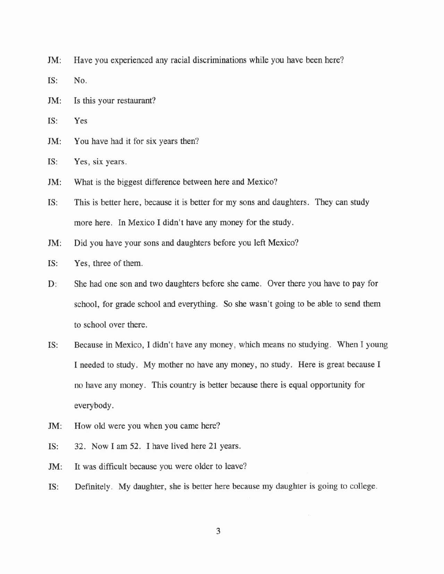1M: Have you experienced any racial discriminations while you have been here?

IS: No.

1M: Is this your restaurant?

IS: Yes

1M: You have had it for six years then?

IS: Yes, six years.

1M: What is the biggest difference between here and Mexico?

IS: This is better here, because it is better for my sons and daughters. They can study more here. In Mexico I didn't have any money for the study.

1M: Did you have your sons and daughters before you left Mexico?

IS: Yes, three of them.

D: She had one son and two daughters before she came. Over there you have to pay for school, for grade school and everything. So she wasn't going to be able to send them to school over there.

IS: Because in Mexico, I didn't have any money, which means no studying. When I young I needed to study. My mother no have any money, no study. Here is great because I no have any money. This country is better because there is equal opportunity for everybody.

1M: How old were you when you came here?

IS: 32. Now I am 52. I have lived here 21 years.

1M: It was difficult because you were older to leave?

IS: Definitely. My daughter, she is better here because my daughter is going to college.

3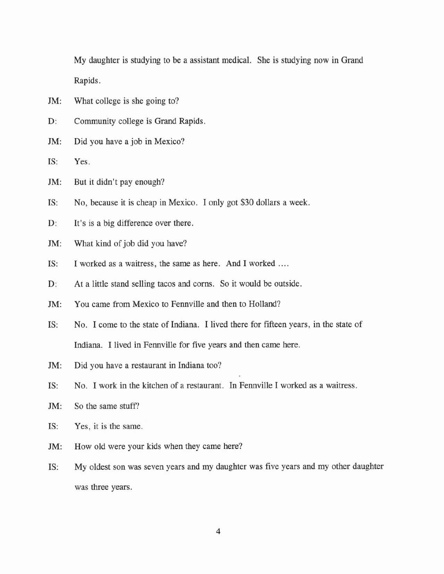My daughter is studying to be a assistant medical. She is studying now in Grand Rapids.

- JM: What college is she going to?
- D: Community college is Grand Rapids.
- 1M: Did you have a job in Mexico?
- IS: Yes.
- JM: But it didn't pay enough?
- IS: No, because it is cheap in Mexico. I only got \$30 dollars a week.
- D: It's is a big difference over there.
- JM: What kind of job did you have?
- IS: I worked as a waitress, the same as here. And I worked ....
- D: At a little stand selling tacos and corns. So it would be outside.
- 1M: You came from Mexico to Fennville and then to Holland?
- IS: No. I come to the state of Indiana. I lived there for fifteen years, in the state of Indiana. I lived in Fennville for five years and then came here.
- JM: Did you have a restaurant in Indiana too?
- IS: No. I work in the kitchen of a restaurant. **In** Fennville I worked as a waitress.
- JM: So the same stuff?
- IS: Yes, it is the same.
- JM: How old were your kids when they came here?
- IS: My oldest son was seven years and my daughter was five years and my other daughter was three years.